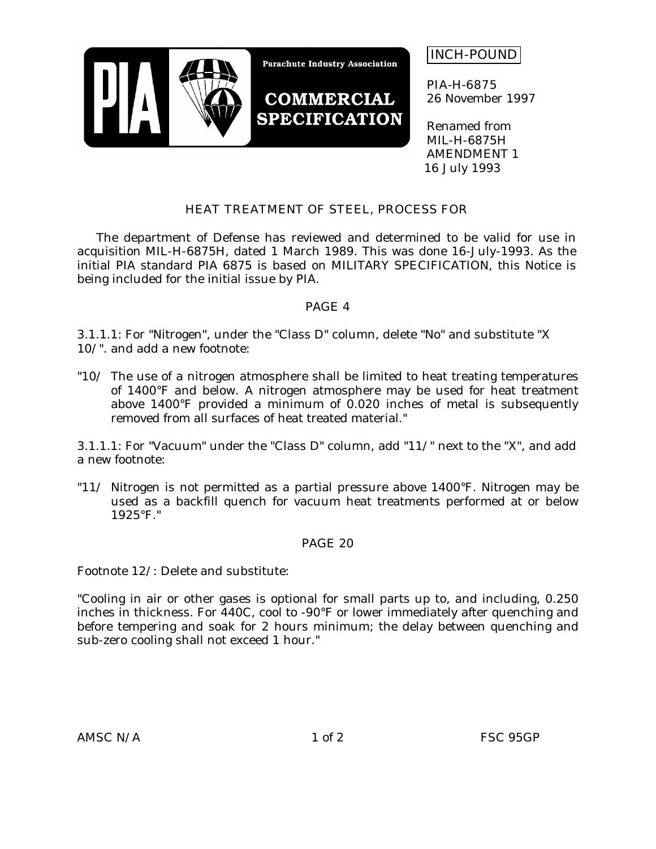

INCH-POUND

PIA-H-6875 26 November 1997

Renamed from MIL-H-6875H AMENDMENT 1 16 July 1993

# HEAT TREATMENT OF STEEL, PROCESS FOR

The department of Defense has reviewed and determined to be valid for use in acquisition MIL-H-6875H, dated 1 March 1989. This was done 16-July-1993. As the initial PIA standard PIA 6875 is based on MILITARY SPECIFICATION, this Notice is being included for the initial issue by PIA.

## PAGE 4

3.1.1.1: For "Nitrogen", under the "Class D" column, delete "No" and substitute "X 10/". and add a new footnote:

"10/ The use of a nitrogen atmosphere shall be limited to heat treating temperatures of 1400°F and below. A nitrogen atmosphere may be used for heat treatment above 1400°F provided a minimum of 0.020 inches of metal is subsequently removed from all surfaces of heat treated material."

3.1.1.1: For "Vacuum" under the "Class D" column, add "11/" next to the "X", and add a new footnote:

"11/ Nitrogen is not permitted as a partial pressure above 1400°F. Nitrogen may be used as a backfill quench for vacuum heat treatments performed at or below 1925°F."

## PAGE 20

Footnote 12/: Delete and substitute:

"Cooling in air or other gases is optional for small parts up to, and including, 0.250 inches in thickness. For 440C, cool to -90°F or lower immediately after quenching and before tempering and soak for 2 hours minimum; the delay between quenching and sub-zero cooling shall not exceed 1 hour."